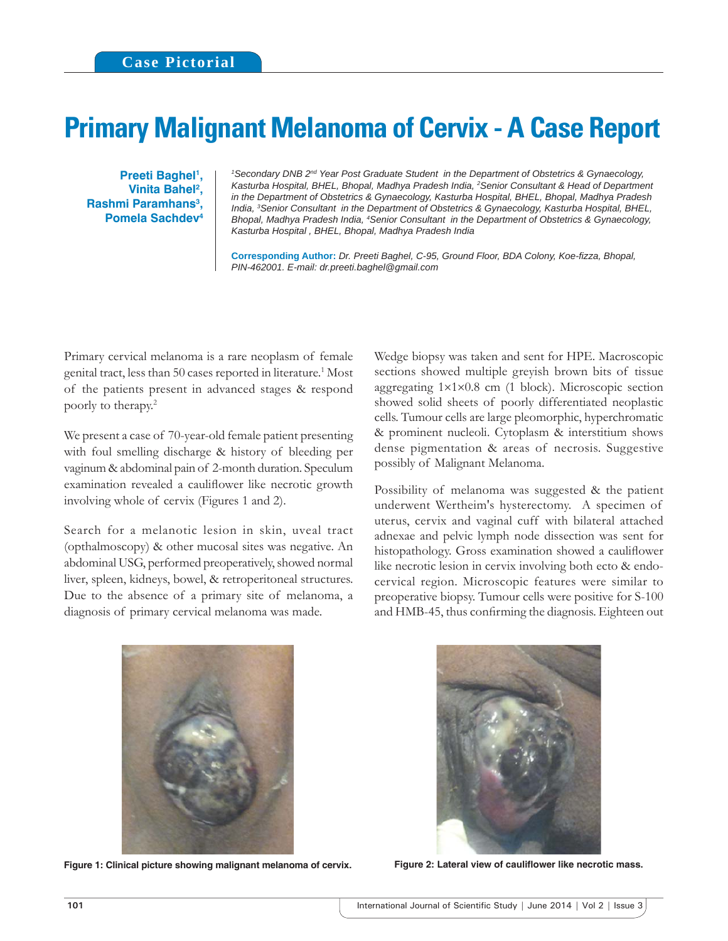## **Primary Malignant Melanoma of Cervix - A Case Report**

**Preeti Baghel<sup>1</sup>, Vinita Bahel2 , Rashmi Paramhans3 , Pomela Sachdev4**

<sup>1</sup> Secondary DNB 2<sup>nd</sup> Year Post Graduate Student in the Department of Obstetrics & Gynaecology, *Kasturba Hospital, BHEL, Bhopal, Madhya Pradesh India, 2 Senior Consultant & Head of Department in the Department of Obstetrics & Gynaecology, Kasturba Hospital, BHEL, Bhopal, Madhya Pradesh India, 3 Senior Consultant in the Department of Obstetrics & Gynaecology, Kasturba Hospital, BHEL, Bhopal, Madhya Pradesh India, 4 Senior Consultant in the Department of Obstetrics & Gynaecology, Kasturba Hospital , BHEL, Bhopal, Madhya Pradesh India*

**Corresponding Author:** *Dr. Preeti Baghel, C-95, Ground Floor, BDA Colony, Koe-fi zza, Bhopal, PIN-462001. E-mail: dr.preeti.baghel@gmail.com*

Primary cervical melanoma is a rare neoplasm of female genital tract, less than 50 cases reported in literature.<sup>1</sup> Most of the patients present in advanced stages & respond poorly to therapy.2

We present a case of 70-year-old female patient presenting with foul smelling discharge & history of bleeding per vaginum & abdominal pain of 2-month duration. Speculum examination revealed a cauliflower like necrotic growth involving whole of cervix (Figures 1 and 2).

Search for a melanotic lesion in skin, uveal tract (opthalmoscopy) & other mucosal sites was negative. An abdominal USG, performed preoperatively, showed normal liver, spleen, kidneys, bowel, & retroperitoneal structures. Due to the absence of a primary site of melanoma, a diagnosis of primary cervical melanoma was made.

Wedge biopsy was taken and sent for HPE. Macroscopic sections showed multiple greyish brown bits of tissue aggregating 1×1×0.8 cm (1 block). Microscopic section showed solid sheets of poorly differentiated neoplastic cells. Tumour cells are large pleomorphic, hyperchromatic & prominent nucleoli. Cytoplasm & interstitium shows dense pigmentation & areas of necrosis. Suggestive possibly of Malignant Melanoma.

Possibility of melanoma was suggested & the patient underwent Wertheim's hysterectomy. A specimen of uterus, cervix and vaginal cuff with bilateral attached adnexae and pelvic lymph node dissection was sent for histopathology. Gross examination showed a cauliflower like necrotic lesion in cervix involving both ecto & endocervical region. Microscopic features were similar to preoperative biopsy. Tumour cells were positive for S-100 and HMB-45, thus confirming the diagnosis. Eighteen out



Figure 1: Clinical picture showing malignant melanoma of cervix. Figure 2: Lateral view of cauliflower like necrotic mass.